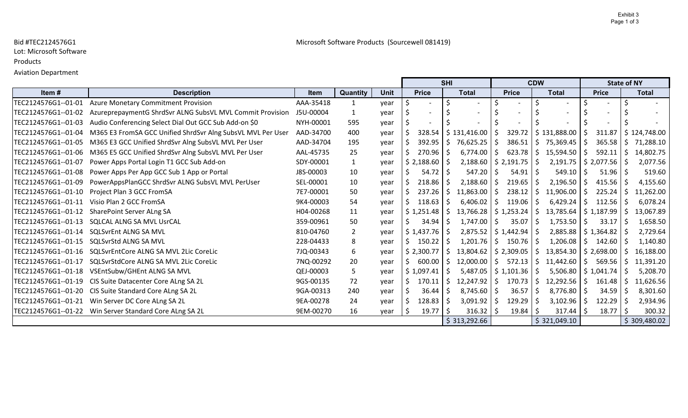# Lot: Microsoft Software

#### Products

## Aviation Department

|                     |                                                             |           |                |             |    |                 | <b>SHI</b>                     |              |              |     | <b>CDW</b>   |    |                                         |  | <b>State of NY</b>       |  |
|---------------------|-------------------------------------------------------------|-----------|----------------|-------------|----|-----------------|--------------------------------|--------------|--------------|-----|--------------|----|-----------------------------------------|--|--------------------------|--|
| Item#               | <b>Description</b>                                          | Item      | Quantity       | <b>Unit</b> |    | <b>Price</b>    | <b>Total</b>                   |              | <b>Price</b> |     | <b>Total</b> |    | <b>Price</b>                            |  | <b>Total</b>             |  |
| TEC2124576G1--01-01 | <b>Azure Monetary Commitment Provision</b>                  | AAA-35418 | 1              | year        |    |                 |                                |              |              |     |              |    |                                         |  |                          |  |
| TEC2124576G1--01-02 | AzureprepaymentG ShrdSvr ALNG SubsVL MVL Commit Provision   | J5U-00004 | 1              | year        |    |                 |                                |              |              |     |              |    |                                         |  |                          |  |
| TEC2124576G1--01-03 | Audio Conferencing Select Dial Out GCC Sub Add-on \$0       | NYH-00001 | 595            | year        |    |                 |                                |              |              |     |              |    |                                         |  |                          |  |
| TEC2124576G1--01-04 | M365 E3 FromSA GCC Unified ShrdSvr Alng SubsVL MVL Per User | AAD-34700 | 400            | year        |    | 328.54          | \$131,416.00                   | -S           | 329.72       |     | \$131,888.00 | S. | 311.87                                  |  | $\frac{1}{2}$ 124,748.00 |  |
| TEC2124576G1--01-05 | M365 E3 GCC Unified ShrdSvr Alng SubsVL MVL Per User        | AAD-34704 | 195            | year        |    | 392.95          | Ŝ.<br>$76,625.25$ \$           |              | 386.51       | \$  | 75,369.45    | S. | 365.58                                  |  | 71,288.10                |  |
| TEC2124576G1--01-06 | M365 E5 GCC Unified ShrdSvr Alng SubsVL MVL Per User        | AAL-45735 | 25             | year        |    | $270.96$   \$   | $6,774.00$ \$                  |              | 623.78       | \$  | 15,594.50    | S. | 592.11                                  |  | 14,802.75                |  |
| TEC2124576G1--01-07 | Power Apps Portal Login T1 GCC Sub Add-on                   | SDY-00001 | $\mathbf{1}$   | year        |    | $$2,188.60$ $$$ | $2,188.60$   \$ 2,191.75       |              |              | S.  | 2,191.75     |    | $\frac{1}{2}$ \$ 2,077.56 $\frac{1}{2}$ |  | 2,077.56                 |  |
| TEC2124576G1--01-08 | Power Apps Per App GCC Sub 1 App or Portal                  | J8S-00003 | 10             | year        |    | $54.72$   \$    | 547.20                         | S.           | 54.91        | -S  | 549.10       | -S | 51.96                                   |  | 519.60                   |  |
| TEC2124576G1--01-09 | PowerAppsPlanGCC ShrdSvr ALNG SubsVL MVL PerUser            | SEL-00001 | 10             | year        |    | $218.86$   \$   | 2,188.60                       | -S           | 219.65       | -S  | 2,196.50     | -S | 415.56                                  |  | 4,155.60                 |  |
| TEC2124576G1--01-10 | Project Plan 3 GCC FromSA                                   | 7E7-00001 | 50             | vear        |    | 237.26          | Ŝ.<br>$11,863.00$   \$         |              | 238.12       | \$  | 11,906.00    | S. | 225.24                                  |  | 11,262.00                |  |
| TEC2124576G1--01-11 | Visio Plan 2 GCC FromSA                                     | 9K4-00003 | 54             | year        | S. | $118.63$   \$   | $6,406.02$   \$                |              | 119.06       | Ŝ.  | 6,429.24     | S. | 112.56                                  |  | 6,078.24                 |  |
| TEC2124576G1--01-12 | SharePoint Server ALng SA                                   | H04-00268 | 11             | year        |    | \$1,251.48      | $13,766.28$   \$1,253.24<br>S  |              |              | \$  | 13,785.64    |    | $$1,187.99$ $$$                         |  | 13,067.89                |  |
| TEC2124576G1--01-13 | SQLCAL ALNG SA MVL UsrCAL                                   | 359-00961 | 50             | year        | S. | $34.94$   \$    | $1,747.00$   \$                |              | 35.07        | -S  | 1,753.50     | S. | 33.17                                   |  | 1,658.50                 |  |
| TEC2124576G1--01-14 | <b>SQLSvrEnt ALNG SA MVL</b>                                | 810-04760 | $\overline{2}$ | year        |    | $$1,437.76$ $$$ | $2,875.52$   \$1,442.94        |              |              | -S  | 2,885.88     |    | \$1,364.82                              |  | 2,729.64                 |  |
| TEC2124576G1--01-15 | SQLSvrStd ALNG SA MVL                                       | 228-04433 | 8              | year        | S. | $150.22$   \$   | $1,201.76$   \$                |              | 150.76       | -S  | 1,206.08     | S. | 142.60                                  |  | 1,140.80                 |  |
| TEC2124576G1--01-16 | SQLSvrEntCore ALNG SA MVL 2Lic CoreLic                      | 7JQ-00343 | 6              | year        |    | \$2,300.77      | $13,804.62$   \$ 2,309.05<br>S |              |              | \$  | 13,854.30    |    | \$2,698.00                              |  | 16,188.00                |  |
| TEC2124576G1--01-17 | SQLSvrStdCore ALNG SA MVL 2Lic CoreLic                      | 7NQ-00292 | 20             | year        | S. | $600.00$   \$   | $12,000.00$   \$               |              | 572.13       | \$  | 11,442.60    | S. | 569.56                                  |  | 11,391.20                |  |
| TEC2124576G1--01-18 | VSEntSubw/GHEnt ALNG SA MVL                                 | QEJ-00003 | 5              | year        |    | \$1,097.41      | 5,487.05<br>S                  |              | \$1,101.36   | -Ŝ  | 5,506.80     |    | \$1,041.74                              |  | 5,208.70                 |  |
| TEC2124576G1--01-19 | CIS Suite Datacenter Core ALng SA 2L                        | 9GS-00135 | 72             | year        |    | 170.11          | \$<br>$12,247.92$   \$         |              | 170.73       | \$  | 12,292.56    | S. | 161.48                                  |  | 11,626.56                |  |
| TEC2124576G1--01-20 | CIS Suite Standard Core ALng SA 2L                          | 9GA-00313 | 240            | year        |    | 36.44           | $8,745.60$   \$                |              | 36.57        | -\$ | 8,776.80     | -S | 34.59                                   |  | 8,301.60                 |  |
| TEC2124576G1--01-21 | Win Server DC Core ALng SA 2L                               | 9EA-00278 | 24             | year        |    | $128.83$   \$   | $3,091.92$ \$                  |              | 129.29       | -S  | 3,102.96     | S. | $122.29$   \$                           |  | 2,934.96                 |  |
| TEC2124576G1--01-22 | Win Server Standard Core ALng SA 2L                         | 9EM-00270 | 16             | year        | -S | 19.77           | 316.32                         | <sup>S</sup> | 19.84        |     | 317.44       | \$ | 18.77                                   |  | 300.32                   |  |
|                     |                                                             |           |                |             |    |                 | \$313,292.66                   |              |              |     | \$321,049.10 |    |                                         |  | \$309,480.02             |  |

## Bid #TEC2124576G1 Microsoft Software Products (Sourcewell 081419)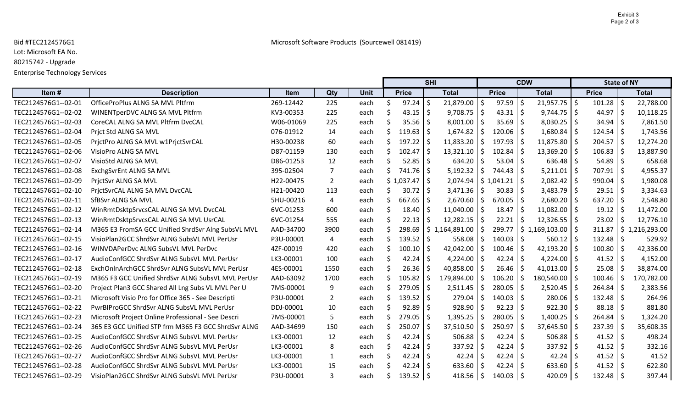## Bid #TEC2124576G1 Microsoft Software Products (Sourcewell 081419)

Lot: Microsoft EA No.

80215742 - Upgrade

Enterprise Technology Services

|                     |                                                     |           |                |             |    | <b>SHI</b>   |              |                         |            |               | <b>CDW</b>    |                             | <b>State of NY</b> |      |                               |
|---------------------|-----------------------------------------------------|-----------|----------------|-------------|----|--------------|--------------|-------------------------|------------|---------------|---------------|-----------------------------|--------------------|------|-------------------------------|
| Item#               | <b>Description</b>                                  | Item      | Qty            | <b>Unit</b> |    | <b>Price</b> |              | <b>Total</b>            |            | <b>Price</b>  |               | <b>Total</b>                | <b>Price</b>       |      | <b>Total</b>                  |
| TEC2124576G1--02-01 | OfficeProPlus ALNG SA MVL Pltfrm                    | 269-12442 | 225            | each        | -S | 97.24        | \$           | 21,879.00               | $\zeta$    | 97.59         | Ŝ.            | $21,957.75$ \$              | 101.28             | l \$ | 22,788.00                     |
| TEC2124576G1--02-02 | WINENTperDVC ALNG SA MVL Pltfrm                     | KV3-00353 | 225            | each        |    | 43.15        | -\$          | $9,708.75$ \$           |            | 43.31         | -Ŝ            | $9,744.75$ \$               | 44.97              | l \$ | 10,118.25                     |
| TEC2124576G1--02-03 | CoreCAL ALNG SA MVL PItfrm DvcCAL                   | W06-01069 | 225            | each        |    | 35.56        | S.           | 8,001.00                | -\$        | 35.69         | -Ś            | $8,030.25$ \$               | 34.94              | l S  | 7,861.50                      |
| TEC2124576G1--02-04 | Prict Std ALNG SA MVL                               | 076-01912 | 14             | each        |    | 119.63       | -S           | $1,674.82$   \$         |            | 120.06        |               | $1,680.84$ \$               | 124.54             | l S  | 1,743.56                      |
| TEC2124576G1--02-05 | PrictPro ALNG SA MVL w1PrictSvrCAL                  | H30-00238 | 60             | each        |    | 197.22       | -Ś           | 11,833.20               | Ŝ.         | 197.93        |               | $11,875.80$   \$            | 204.57             | l \$ | 12,274.20                     |
| TEC2124576G1--02-06 | VisioPro ALNG SA MVL                                | D87-01159 | 130            | each        | S  | 102.47       | \$           | 13,321.10               | -\$        | 102.84        |               | $13,369.20$   \$            | 106.83             | l S  | 13,887.90                     |
| TEC2124576G1--02-07 | VisioStd ALNG SA MVL                                | D86-01253 | 12             | each        |    | 52.85        | -\$          | 634.20                  |            | 53.04         | -Ŝ            | $636.48$ \$                 | 54.89              | l Ś  | 658.68                        |
| TEC2124576G1--02-08 | ExchgSvrEnt ALNG SA MVL                             | 395-02504 | 7              | each        | Ś  | 741.76       | -\$          | 5,192.32                | \$         | 744.43        | -Ś            | $5,211.01$   \$             | 707.91             | I \$ | 4,955.37                      |
| TEC2124576G1--02-09 | PrictSvr ALNG SA MVL                                | H22-00475 | $\overline{2}$ | each        |    | \$1,037.47   | $\mathsf{S}$ | $2,074.94$   \$1,041.21 |            |               | -Ŝ            | $2,082.42$ \$               | 990.04             | I \$ | 1,980.08                      |
| TEC2124576G1--02-10 | PrictSvrCAL ALNG SA MVL DvcCAL                      | H21-00420 | 113            | each        |    | 30.72        | S.           | 3,471.36                | \$         | 30.83         | -Ś            | $3,483.79$ \$               | 29.51              | l \$ | 3,334.63                      |
| TEC2124576G1--02-11 | SfBSvr ALNG SA MVL                                  | 5HU-00216 | 4              | each        |    | 667.65       | -\$          | $2,670.60$ \$           |            | 670.05        | -S            | $2,680.20$ \$               | $637.20$   \$      |      | 2,548.80                      |
| TEC2124576G1--02-12 | WinRmtDsktpSrvcsCAL ALNG SA MVL DvcCAL              | 6VC-01253 | 600            | each        |    | 18.40        | -Ś           | $11,040.00$   \$        |            | 18.47         |               | $11,082.00$   \$            | 19.12              | l S  | 11,472.00                     |
| TEC2124576G1--02-13 | WinRmtDsktpSrvcsCAL ALNG SA MVL UsrCAL              | 6VC-01254 | 555            | each        |    | 22.13        | -S           | 12,282.15               | -S         | 22.21         |               | $12,326.55$ $\frac{1}{5}$   | 23.02              | l S  | 12,776.10                     |
| TEC2124576G1--02-14 | M365 E3 FromSA GCC Unified ShrdSvr Alng SubsVL MVL  | AAD-34700 | 3900           | each        |    | 298.69       |              | \$1,164,891.00          | Ŝ.         | 299.77        |               | $$1,169,103.00$ $$$         | 311.87             |      | $\frac{1}{2}$ \$ 1,216,293.00 |
| TEC2124576G1--02-15 | VisioPlan2GCC ShrdSvr ALNG SubsVL MVL PerUsr        | P3U-00001 | 4              | each        | S. | 139.52       | -\$          | 558.08                  | Ŝ          | 140.03        | -S            | $560.12$   \$               | 132.48             | l S  | 529.92                        |
| TEC2124576G1--02-16 | WINVDAPerDvc ALNG SubsVL MVL PerDvc                 | 4ZF-00019 | 420            | each        |    | 100.10       | -\$          | 42,042.00               | Ŝ.         | 100.46        |               | $42,193.20$ \$              | 100.80             |      | 42,336.00                     |
| TEC2124576G1--02-17 | AudioConfGCC ShrdSvr ALNG SubsVL MVL PerUsr         | LK3-00001 | 100            | each        |    | 42.24        | -\$          | 4,224.00                | -\$        | 42.24         | Ŝ.            | $4,224.00$ \$               | 41.52              | l \$ | 4,152.00                      |
| TEC2124576G1--02-18 | ExchOnInArchGCC ShrdSvr ALNG SubsVL MVL PerUsr      | 4ES-00001 | 1550           | each        |    | 26.36        | -S           | 40,858.00               | -\$        | 26.46         |               | 41,013.00 $\vert$ \$        | 25.08              | l S  | 38,874.00                     |
| TEC2124576G1--02-19 | M365 F3 GCC Unified ShrdSvr ALNG SubsVL MVL PerUsr  | AAD-63092 | 1700           | each        |    | 105.82       | $\zeta$      | 179,894.00              | $\zeta$    | 106.20        | Ŝ.            | 180,540.00 \$               | 100.46             | 15   | 170,782.00                    |
| TEC2124576G1--02-20 | Project Plan3 GCC Shared All Lng Subs VL MVL Per U  | 7MS-00001 | 9              | each        | S. | 279.05       | -\$          | 2,511.45                | -S         | 280.05        | <sup>\$</sup> | $2,520.45$ \$               | 264.84             | l \$ | 2,383.56                      |
| TEC2124576G1--02-21 | Microsoft Visio Pro for Office 365 - See Descripti  | P3U-00001 | $\overline{2}$ | each        |    | 139.52       | $\zeta$      | 279.04                  |            | 140.03        |               | 280.06                      | 132.48             | -Ś   | 264.96                        |
| TEC2124576G1--02-22 | PwrBIProGCC ShrdSvr ALNG SubsVL MVL PerUsr          | DDJ-00001 | 10             | each        |    | 92.89        | \$           | 928.90                  | S          | 92.23         |               | $922.30$   \$               | 88.18              | 1 \$ | 881.80                        |
| TEC2124576G1--02-23 | Microsoft Project Online Professional - See Descri  | 7MS-00001 | 5              | each        |    | 279.05       | -Ś           | 1,395.25                | Ŝ.         | 280.05        | -S            | $1,400.25$ \$               | 264.84             | l \$ | 1,324.20                      |
| TEC2124576G1--02-24 | 365 E3 GCC Unified STP frm M365 F3 GCC ShrdSvr ALNG | AAD-34699 | 150            | each        |    | 250.07       | -Ŝ           | 37,510.50               | \$         | 250.97        |               | $37,645.50$ $\downarrow$ \$ | 237.39             | l S  | 35,608.35                     |
| TEC2124576G1--02-25 | AudioConfGCC ShrdSvr ALNG SubsVL MVL PerUsr         | LK3-00001 | 12             | each        |    | 42.24        | -\$          | 506.88                  | -\$        | 42.24         |               | $506.88$   \$               | $41.52$   \$       |      | 498.24                        |
| TEC2124576G1--02-26 | AudioConfGCC ShrdSvr ALNG SubsVL MVL PerUsr         | LK3-00001 | 8              | each        |    | 42.24        | -\$          | 337.92   \$             |            | 42.24         |               | $337.92$   \$               | $41.52$   \$       |      | 332.16                        |
| TEC2124576G1--02-27 | AudioConfGCC ShrdSvr ALNG SubsVL MVL PerUsr         | LK3-00001 | 1              | each        |    | 42.24        | -\$          | 42.24                   | $\vert$ \$ | 42.24         |               | $42.24$   \$                | $41.52$   \$       |      | 41.52                         |
| TEC2124576G1--02-28 | AudioConfGCC ShrdSvr ALNG SubsVL MVL PerUsr         | LK3-00001 | 15             | each        |    | 42.24        | -\$          | 633.60                  | Ŝ.         | 42.24         |               | $633.60$   \$               | 41.52              | 15   | 622.80                        |
| TEC2124576G1--02-29 | VisioPlan2GCC ShrdSvr ALNG SubsVL MVL PerUsr        | P3U-00001 | 3              | each        |    | 139.52       | \$           | $418.56$   \$           |            | $140.03$   \$ |               | 420.09 $\vert$ \$           | $132.48$   \$      |      | 397.44                        |